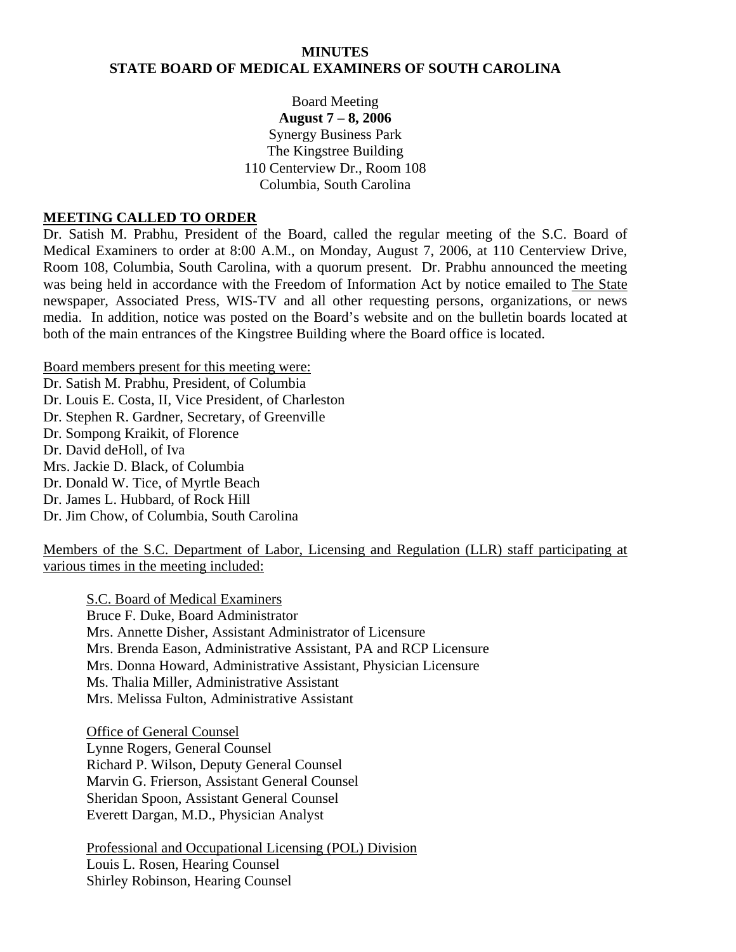#### **MINUTES STATE BOARD OF MEDICAL EXAMINERS OF SOUTH CAROLINA**

### Board Meeting **August 7 – 8, 2006**  Synergy Business Park The Kingstree Building 110 Centerview Dr., Room 108 Columbia, South Carolina

#### **MEETING CALLED TO ORDER**

Dr. Satish M. Prabhu, President of the Board, called the regular meeting of the S.C. Board of Medical Examiners to order at 8:00 A.M., on Monday, August 7, 2006, at 110 Centerview Drive, Room 108, Columbia, South Carolina, with a quorum present. Dr. Prabhu announced the meeting was being held in accordance with the Freedom of Information Act by notice emailed to The State newspaper, Associated Press, WIS-TV and all other requesting persons, organizations, or news media. In addition, notice was posted on the Board's website and on the bulletin boards located at both of the main entrances of the Kingstree Building where the Board office is located.

Board members present for this meeting were:

Dr. Satish M. Prabhu, President, of Columbia Dr. Louis E. Costa, II, Vice President, of Charleston Dr. Stephen R. Gardner, Secretary, of Greenville Dr. Sompong Kraikit, of Florence Dr. David deHoll, of Iva Mrs. Jackie D. Black, of Columbia Dr. Donald W. Tice, of Myrtle Beach Dr. James L. Hubbard, of Rock Hill Dr. Jim Chow, of Columbia, South Carolina

Members of the S.C. Department of Labor, Licensing and Regulation (LLR) staff participating at various times in the meeting included:

S.C. Board of Medical Examiners Bruce F. Duke, Board Administrator Mrs. Annette Disher, Assistant Administrator of Licensure Mrs. Brenda Eason, Administrative Assistant, PA and RCP Licensure Mrs. Donna Howard, Administrative Assistant, Physician Licensure Ms. Thalia Miller, Administrative Assistant Mrs. Melissa Fulton, Administrative Assistant

 Office of General Counsel Lynne Rogers, General Counsel Richard P. Wilson, Deputy General Counsel Marvin G. Frierson, Assistant General Counsel Sheridan Spoon, Assistant General Counsel Everett Dargan, M.D., Physician Analyst

 Professional and Occupational Licensing (POL) Division Louis L. Rosen, Hearing Counsel Shirley Robinson, Hearing Counsel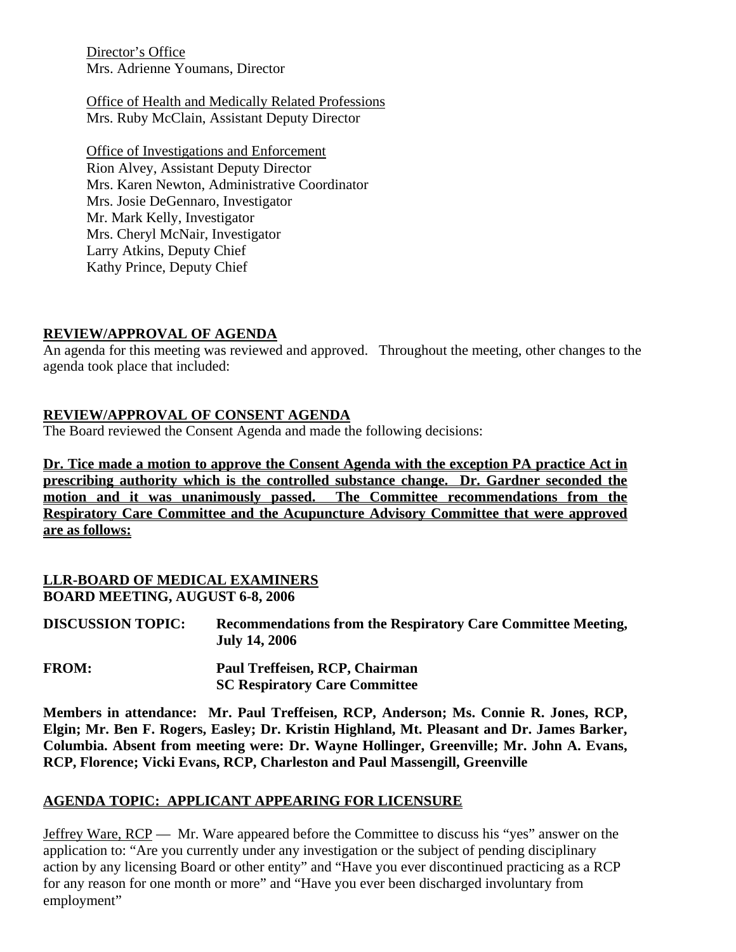Director's Office Mrs. Adrienne Youmans, Director

Office of Health and Medically Related Professions Mrs. Ruby McClain, Assistant Deputy Director

Office of Investigations and Enforcement Rion Alvey, Assistant Deputy Director Mrs. Karen Newton, Administrative Coordinator Mrs. Josie DeGennaro, Investigator Mr. Mark Kelly, Investigator Mrs. Cheryl McNair, Investigator Larry Atkins, Deputy Chief Kathy Prince, Deputy Chief

### **REVIEW/APPROVAL OF AGENDA**

An agenda for this meeting was reviewed and approved. Throughout the meeting, other changes to the agenda took place that included:

### **REVIEW/APPROVAL OF CONSENT AGENDA**

The Board reviewed the Consent Agenda and made the following decisions:

**Dr. Tice made a motion to approve the Consent Agenda with the exception PA practice Act in prescribing authority which is the controlled substance change. Dr. Gardner seconded the motion and it was unanimously passed. The Committee recommendations from the Respiratory Care Committee and the Acupuncture Advisory Committee that were approved are as follows:**

### **LLR-BOARD OF MEDICAL EXAMINERS BOARD MEETING, AUGUST 6-8, 2006**

| <b>DISCUSSION TOPIC:</b> | <b>Recommendations from the Respiratory Care Committee Meeting,</b> |
|--------------------------|---------------------------------------------------------------------|
|                          | <b>July 14, 2006</b>                                                |

**FROM: Paul Treffeisen, RCP, Chairman SC Respiratory Care Committee** 

**Members in attendance: Mr. Paul Treffeisen, RCP, Anderson; Ms. Connie R. Jones, RCP, Elgin; Mr. Ben F. Rogers, Easley; Dr. Kristin Highland, Mt. Pleasant and Dr. James Barker, Columbia. Absent from meeting were: Dr. Wayne Hollinger, Greenville; Mr. John A. Evans, RCP, Florence; Vicki Evans, RCP, Charleston and Paul Massengill, Greenville** 

#### **AGENDA TOPIC: APPLICANT APPEARING FOR LICENSURE**

Jeffrey Ware, RCP — Mr. Ware appeared before the Committee to discuss his "yes" answer on the application to: "Are you currently under any investigation or the subject of pending disciplinary action by any licensing Board or other entity" and "Have you ever discontinued practicing as a RCP for any reason for one month or more" and "Have you ever been discharged involuntary from employment"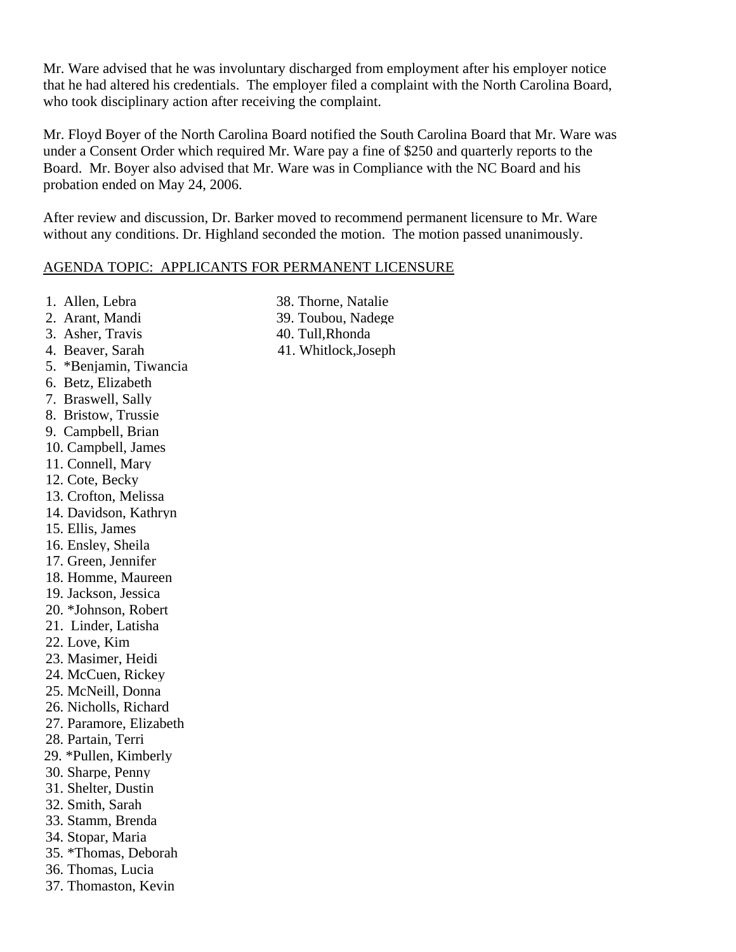Mr. Ware advised that he was involuntary discharged from employment after his employer notice that he had altered his credentials. The employer filed a complaint with the North Carolina Board, who took disciplinary action after receiving the complaint.

Mr. Floyd Boyer of the North Carolina Board notified the South Carolina Board that Mr. Ware was under a Consent Order which required Mr. Ware pay a fine of \$250 and quarterly reports to the Board. Mr. Boyer also advised that Mr. Ware was in Compliance with the NC Board and his probation ended on May 24, 2006.

After review and discussion, Dr. Barker moved to recommend permanent licensure to Mr. Ware without any conditions. Dr. Highland seconded the motion. The motion passed unanimously.

#### AGENDA TOPIC: APPLICANTS FOR PERMANENT LICENSURE

- 1. Allen, Lebra
- 2. Arant, Mandi
- 3. Asher, Travis
- 4. Beaver, Sarah
- 5. \*Benjamin, Tiwancia
- 6. Betz, Elizabeth
- 7. Braswell, Sally
- 8. Bristow, Trussie
- 9. Campbell, Brian
- 10. Campbell, James
- 11. Connell, Mary
- 12. Cote, Becky
- 13. Crofton, Melissa
- 14. Davidson, Kathryn
- 15. Ellis, James
- 16. Ensley, Sheila
- 17. Green, Jennifer
- 18. Homme, Maureen
- 19. Jackson, Jessica
- 20. \*Johnson, Robert
- 21. Linder, Latisha
- 22. Love, Kim
- 23. Masimer, Heidi
- 24. McCuen, Rickey
- 25. McNeill, Donna
- 26. Nicholls, Richard
- 27. Paramore, Elizabeth
- 28. Partain, Terri
- 29. \*Pullen, Kimberly
- 30. Sharpe, Penny
- 31. Shelter, Dustin
- 32. Smith, Sarah
- 33. Stamm, Brenda
- 34. Stopar, Maria
- 35. \*Thomas, Deborah
- 36. Thomas, Lucia
- 37. Thomaston, Kevin
- 38. Thorne, Natalie
- 39. Toubou, Nadege
- 40. Tull,Rhonda
- 41. Whitlock,Joseph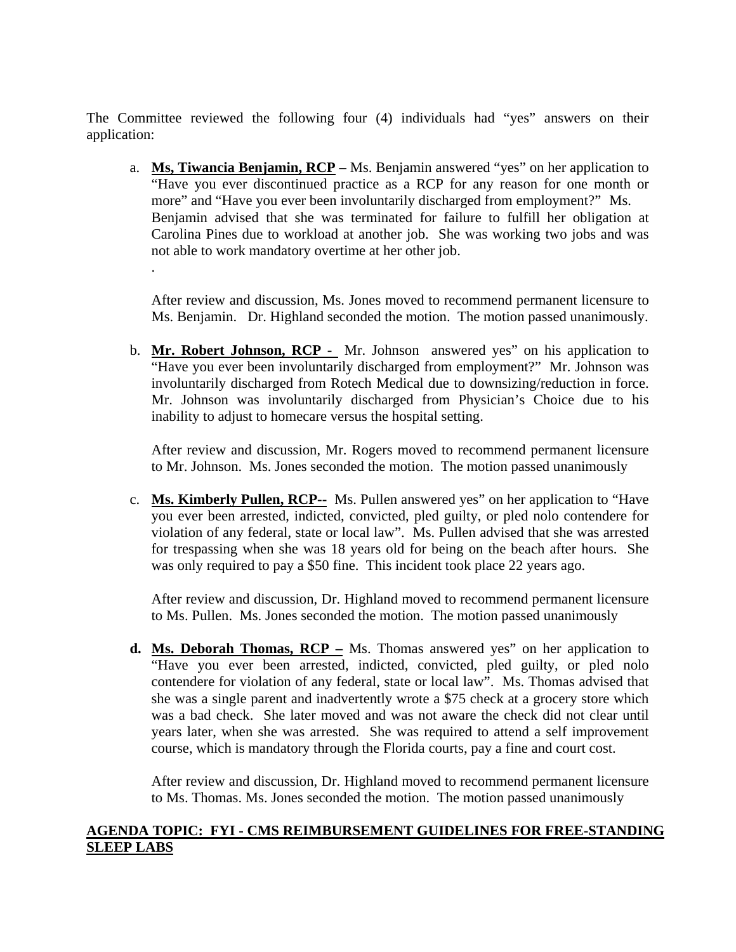The Committee reviewed the following four (4) individuals had "yes" answers on their application:

a. **Ms, Tiwancia Benjamin, RCP** – Ms. Benjamin answered "yes" on her application to "Have you ever discontinued practice as a RCP for any reason for one month or more" and "Have you ever been involuntarily discharged from employment?" Ms. Benjamin advised that she was terminated for failure to fulfill her obligation at Carolina Pines due to workload at another job. She was working two jobs and was not able to work mandatory overtime at her other job. .

After review and discussion, Ms. Jones moved to recommend permanent licensure to Ms. Benjamin. Dr. Highland seconded the motion. The motion passed unanimously.

b. **Mr. Robert Johnson, RCP -** Mr. Johnson answered yes" on his application to "Have you ever been involuntarily discharged from employment?" Mr. Johnson was involuntarily discharged from Rotech Medical due to downsizing/reduction in force. Mr. Johnson was involuntarily discharged from Physician's Choice due to his inability to adjust to homecare versus the hospital setting.

After review and discussion, Mr. Rogers moved to recommend permanent licensure to Mr. Johnson. Ms. Jones seconded the motion. The motion passed unanimously

c. **Ms. Kimberly Pullen, RCP--** Ms. Pullen answered yes" on her application to "Have you ever been arrested, indicted, convicted, pled guilty, or pled nolo contendere for violation of any federal, state or local law". Ms. Pullen advised that she was arrested for trespassing when she was 18 years old for being on the beach after hours. She was only required to pay a \$50 fine. This incident took place 22 years ago.

After review and discussion, Dr. Highland moved to recommend permanent licensure to Ms. Pullen. Ms. Jones seconded the motion. The motion passed unanimously

**d. Ms. Deborah Thomas, RCP –** Ms. Thomas answered yes" on her application to "Have you ever been arrested, indicted, convicted, pled guilty, or pled nolo contendere for violation of any federal, state or local law". Ms. Thomas advised that she was a single parent and inadvertently wrote a \$75 check at a grocery store which was a bad check. She later moved and was not aware the check did not clear until years later, when she was arrested. She was required to attend a self improvement course, which is mandatory through the Florida courts, pay a fine and court cost.

After review and discussion, Dr. Highland moved to recommend permanent licensure to Ms. Thomas. Ms. Jones seconded the motion. The motion passed unanimously

### **AGENDA TOPIC: FYI - CMS REIMBURSEMENT GUIDELINES FOR FREE-STANDING SLEEP LABS**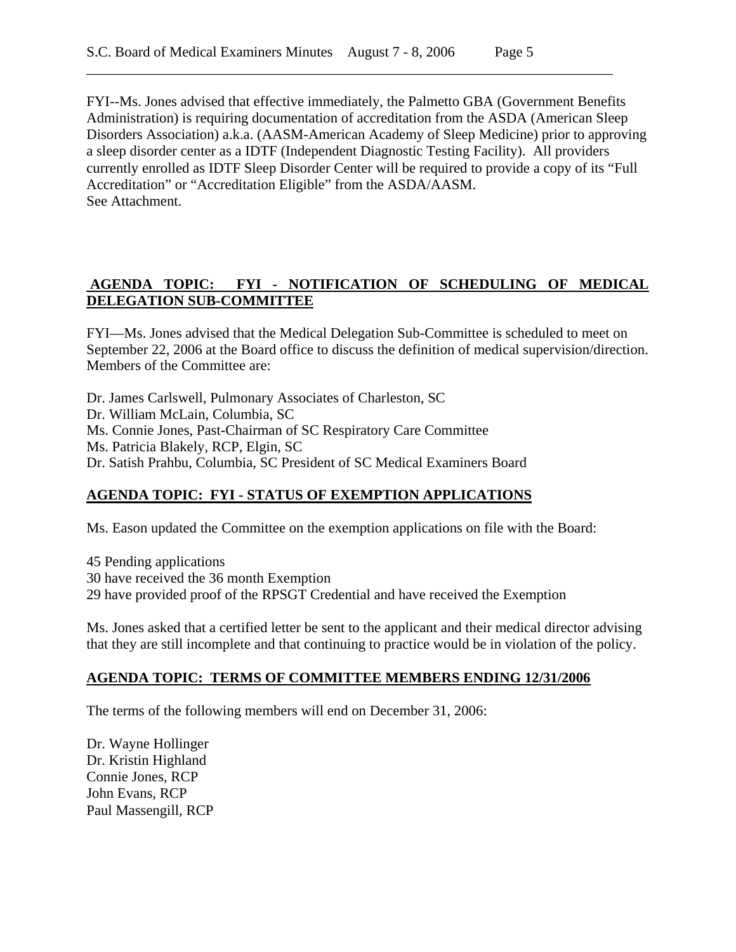FYI--Ms. Jones advised that effective immediately, the Palmetto GBA (Government Benefits Administration) is requiring documentation of accreditation from the ASDA (American Sleep Disorders Association) a.k.a. (AASM-American Academy of Sleep Medicine) prior to approving a sleep disorder center as a IDTF (Independent Diagnostic Testing Facility). All providers currently enrolled as IDTF Sleep Disorder Center will be required to provide a copy of its "Full Accreditation" or "Accreditation Eligible" from the ASDA/AASM. See Attachment.

\_\_\_\_\_\_\_\_\_\_\_\_\_\_\_\_\_\_\_\_\_\_\_\_\_\_\_\_\_\_\_\_\_\_\_\_\_\_\_\_\_\_\_\_\_\_\_\_\_\_\_\_\_\_\_\_\_\_\_\_\_\_\_\_\_\_\_\_\_\_\_\_\_

## **AGENDA TOPIC: FYI - NOTIFICATION OF SCHEDULING OF MEDICAL DELEGATION SUB-COMMITTEE**

FYI—Ms. Jones advised that the Medical Delegation Sub-Committee is scheduled to meet on September 22, 2006 at the Board office to discuss the definition of medical supervision/direction. Members of the Committee are:

Dr. James Carlswell, Pulmonary Associates of Charleston, SC Dr. William McLain, Columbia, SC Ms. Connie Jones, Past-Chairman of SC Respiratory Care Committee Ms. Patricia Blakely, RCP, Elgin, SC Dr. Satish Prahbu, Columbia, SC President of SC Medical Examiners Board

## **AGENDA TOPIC: FYI - STATUS OF EXEMPTION APPLICATIONS**

Ms. Eason updated the Committee on the exemption applications on file with the Board:

45 Pending applications 30 have received the 36 month Exemption 29 have provided proof of the RPSGT Credential and have received the Exemption

Ms. Jones asked that a certified letter be sent to the applicant and their medical director advising that they are still incomplete and that continuing to practice would be in violation of the policy.

#### **AGENDA TOPIC: TERMS OF COMMITTEE MEMBERS ENDING 12/31/2006**

The terms of the following members will end on December 31, 2006:

Dr. Wayne Hollinger Dr. Kristin Highland Connie Jones, RCP John Evans, RCP Paul Massengill, RCP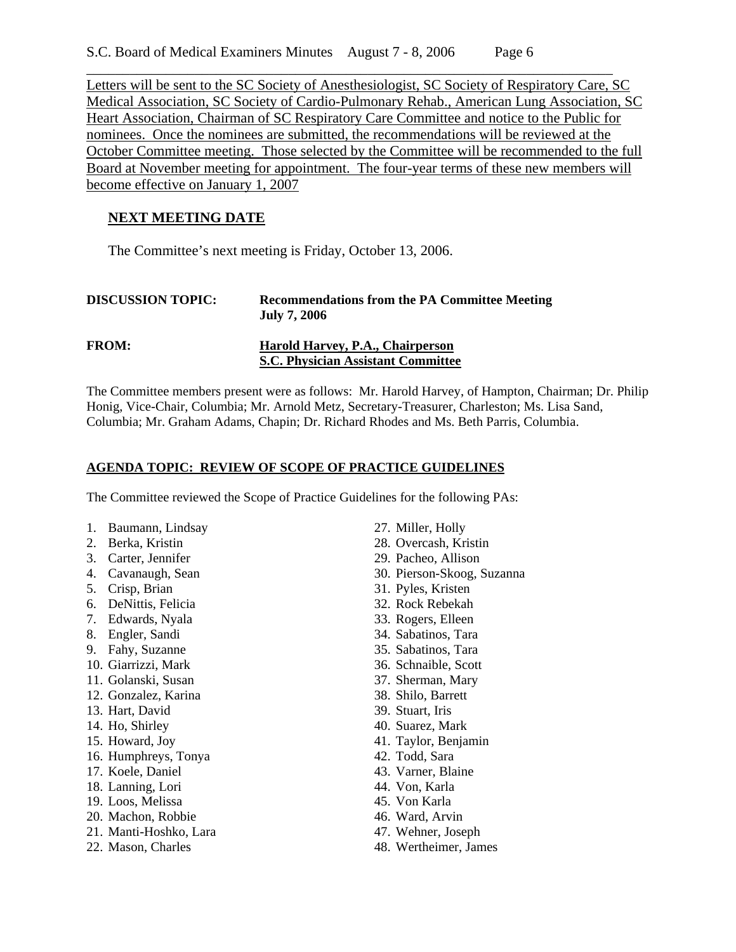Letters will be sent to the SC Society of Anesthesiologist, SC Society of Respiratory Care, SC Medical Association, SC Society of Cardio-Pulmonary Rehab., American Lung Association, SC Heart Association, Chairman of SC Respiratory Care Committee and notice to the Public for nominees. Once the nominees are submitted, the recommendations will be reviewed at the October Committee meeting. Those selected by the Committee will be recommended to the full Board at November meeting for appointment. The four-year terms of these new members will become effective on January 1, 2007

\_\_\_\_\_\_\_\_\_\_\_\_\_\_\_\_\_\_\_\_\_\_\_\_\_\_\_\_\_\_\_\_\_\_\_\_\_\_\_\_\_\_\_\_\_\_\_\_\_\_\_\_\_\_\_\_\_\_\_\_\_\_\_\_\_\_\_\_\_\_\_\_\_

## **NEXT MEETING DATE**

The Committee's next meeting is Friday, October 13, 2006.

| <b>DISCUSSION TOPIC:</b> | <b>Recommendations from the PA Committee Meeting</b><br><b>July 7, 2006</b>   |
|--------------------------|-------------------------------------------------------------------------------|
| <b>FROM:</b>             | Harold Harvey, P.A., Chairperson<br><b>S.C. Physician Assistant Committee</b> |

The Committee members present were as follows: Mr. Harold Harvey, of Hampton, Chairman; Dr. Philip Honig, Vice-Chair, Columbia; Mr. Arnold Metz, Secretary-Treasurer, Charleston; Ms. Lisa Sand, Columbia; Mr. Graham Adams, Chapin; Dr. Richard Rhodes and Ms. Beth Parris, Columbia.

#### **AGENDA TOPIC: REVIEW OF SCOPE OF PRACTICE GUIDELINES**

The Committee reviewed the Scope of Practice Guidelines for the following PAs:

- 1. Baumann, Lindsay
- 2. Berka, Kristin
- 3. Carter, Jennifer
- 4. Cavanaugh, Sean
- 5. Crisp, Brian
- 6. DeNittis, Felicia
- 7. Edwards, Nyala
- 8. Engler, Sandi
- 9. Fahy, Suzanne
- 10. Giarrizzi, Mark
- 11. Golanski, Susan
- 12. Gonzalez, Karina
- 13. Hart, David
- 14. Ho, Shirley
- 15. Howard, Joy
- 16. Humphreys, Tonya
- 17. Koele, Daniel
- 18. Lanning, Lori
- 19. Loos, Melissa
- 20. Machon, Robbie
- 21. Manti-Hoshko, Lara
- 22. Mason, Charles
- 27. Miller, Holly
- 28. Overcash, Kristin
- 29. Pacheo, Allison
- 30. Pierson-Skoog, Suzanna
- 31. Pyles, Kristen
- 32. Rock Rebekah
- 33. Rogers, Elleen
- 34. Sabatinos, Tara
- 35. Sabatinos, Tara
- 36. Schnaible, Scott
- 37. Sherman, Mary
- 38. Shilo, Barrett
- 39. Stuart, Iris
- 40. Suarez, Mark
- 41. Taylor, Benjamin
- 42. Todd, Sara
- 43. Varner, Blaine
- 44. Von, Karla
- 45. Von Karla
- 46. Ward, Arvin
- 47. Wehner, Joseph
- 48. Wertheimer, James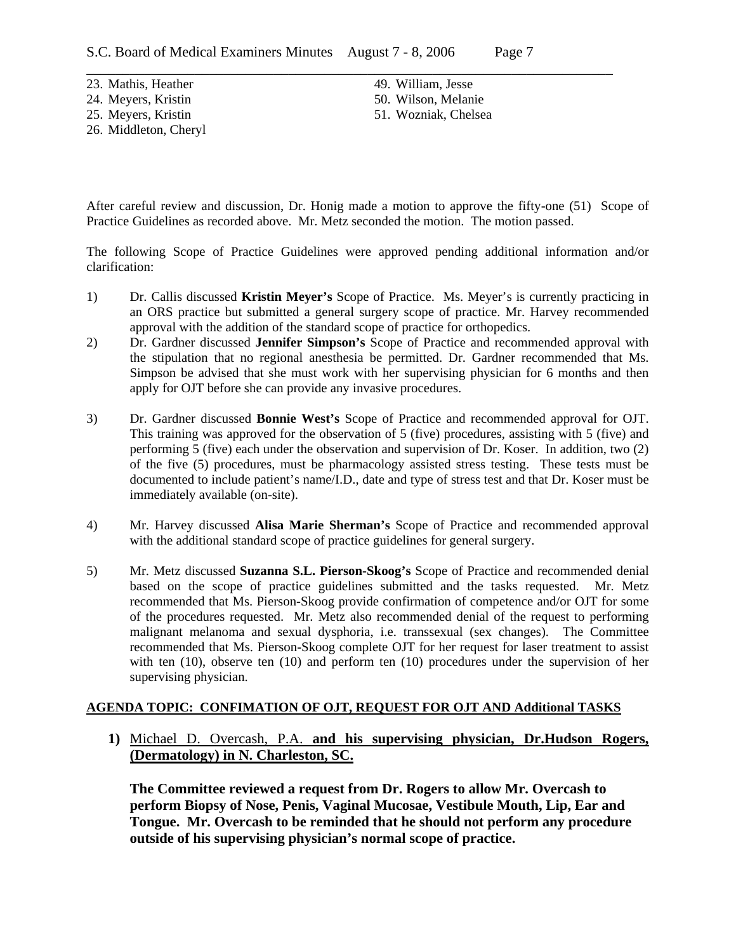23. Mathis, Heather 24. Meyers, Kristin

25. Meyers, Kristin

26. Middleton, Cheryl

\_\_\_\_\_\_\_\_\_\_\_\_\_\_\_\_\_\_\_\_\_\_\_\_\_\_\_\_\_\_\_\_\_\_\_\_\_\_\_\_\_\_\_\_\_\_\_\_\_\_\_\_\_\_\_\_\_\_\_\_\_\_\_\_\_\_\_\_\_\_\_\_\_ 49. William, Jesse 50. Wilson, Melanie 51. Wozniak, Chelsea

After careful review and discussion, Dr. Honig made a motion to approve the fifty-one (51) Scope of Practice Guidelines as recorded above. Mr. Metz seconded the motion. The motion passed.

The following Scope of Practice Guidelines were approved pending additional information and/or clarification:

- 1) Dr. Callis discussed **Kristin Meyer's** Scope of Practice. Ms. Meyer's is currently practicing in an ORS practice but submitted a general surgery scope of practice. Mr. Harvey recommended approval with the addition of the standard scope of practice for orthopedics.
- 2) Dr. Gardner discussed **Jennifer Simpson's** Scope of Practice and recommended approval with the stipulation that no regional anesthesia be permitted. Dr. Gardner recommended that Ms. Simpson be advised that she must work with her supervising physician for 6 months and then apply for OJT before she can provide any invasive procedures.
- 3) Dr. Gardner discussed **Bonnie West's** Scope of Practice and recommended approval for OJT. This training was approved for the observation of 5 (five) procedures, assisting with 5 (five) and performing 5 (five) each under the observation and supervision of Dr. Koser. In addition, two (2) of the five (5) procedures, must be pharmacology assisted stress testing. These tests must be documented to include patient's name/I.D., date and type of stress test and that Dr. Koser must be immediately available (on-site).
- 4) Mr. Harvey discussed **Alisa Marie Sherman's** Scope of Practice and recommended approval with the additional standard scope of practice guidelines for general surgery.
- 5) Mr. Metz discussed **Suzanna S.L. Pierson-Skoog's** Scope of Practice and recommended denial based on the scope of practice guidelines submitted and the tasks requested. Mr. Metz recommended that Ms. Pierson-Skoog provide confirmation of competence and/or OJT for some of the procedures requested. Mr. Metz also recommended denial of the request to performing malignant melanoma and sexual dysphoria, i.e. transsexual (sex changes). The Committee recommended that Ms. Pierson-Skoog complete OJT for her request for laser treatment to assist with ten (10), observe ten (10) and perform ten (10) procedures under the supervision of her supervising physician.

#### **AGENDA TOPIC: CONFIMATION OF OJT, REQUEST FOR OJT AND Additional TASKS**

**1)** Michael D. Overcash, P.A. **and his supervising physician, Dr.Hudson Rogers, (Dermatology) in N. Charleston, SC.**

**The Committee reviewed a request from Dr. Rogers to allow Mr. Overcash to perform Biopsy of Nose, Penis, Vaginal Mucosae, Vestibule Mouth, Lip, Ear and Tongue. Mr. Overcash to be reminded that he should not perform any procedure outside of his supervising physician's normal scope of practice.**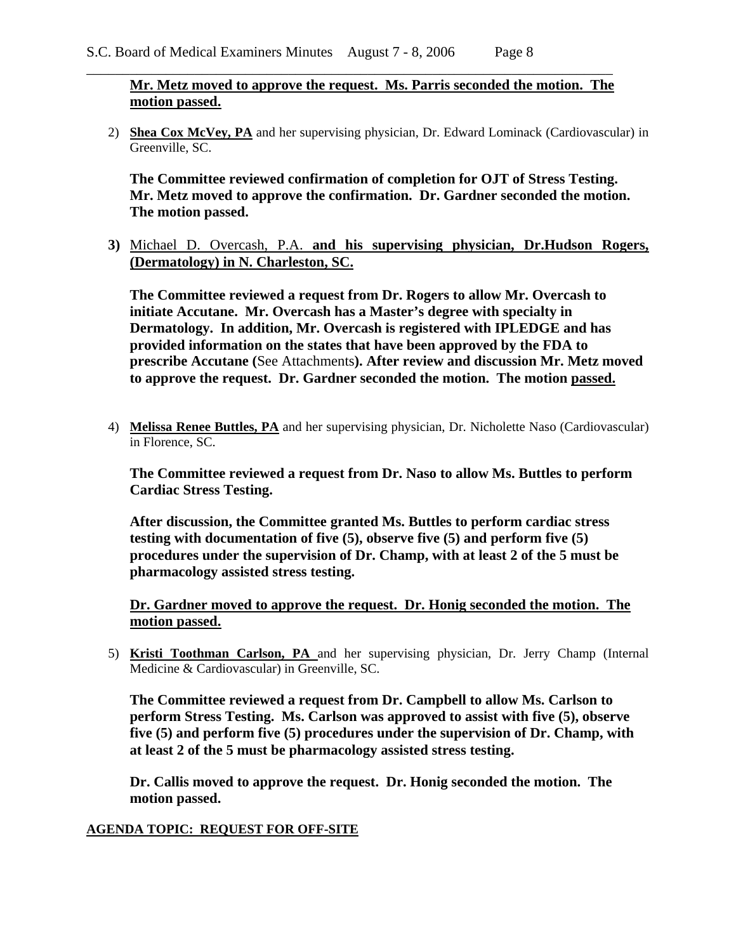**Mr. Metz moved to approve the request. Ms. Parris seconded the motion. The motion passed.**

\_\_\_\_\_\_\_\_\_\_\_\_\_\_\_\_\_\_\_\_\_\_\_\_\_\_\_\_\_\_\_\_\_\_\_\_\_\_\_\_\_\_\_\_\_\_\_\_\_\_\_\_\_\_\_\_\_\_\_\_\_\_\_\_\_\_\_\_\_\_\_\_\_

2) **Shea Cox McVey, PA** and her supervising physician, Dr. Edward Lominack (Cardiovascular) in Greenville, SC.

**The Committee reviewed confirmation of completion for OJT of Stress Testing. Mr. Metz moved to approve the confirmation. Dr. Gardner seconded the motion. The motion passed.** 

**3)** Michael D. Overcash, P.A. **and his supervising physician, Dr.Hudson Rogers, (Dermatology) in N. Charleston, SC.**

**The Committee reviewed a request from Dr. Rogers to allow Mr. Overcash to initiate Accutane. Mr. Overcash has a Master's degree with specialty in Dermatology. In addition, Mr. Overcash is registered with IPLEDGE and has provided information on the states that have been approved by the FDA to prescribe Accutane (**See Attachments**). After review and discussion Mr. Metz moved to approve the request. Dr. Gardner seconded the motion. The motion passed.** 

4) **Melissa Renee Buttles, PA** and her supervising physician, Dr. Nicholette Naso (Cardiovascular) in Florence, SC.

**The Committee reviewed a request from Dr. Naso to allow Ms. Buttles to perform Cardiac Stress Testing.** 

**After discussion, the Committee granted Ms. Buttles to perform cardiac stress testing with documentation of five (5), observe five (5) and perform five (5) procedures under the supervision of Dr. Champ, with at least 2 of the 5 must be pharmacology assisted stress testing.** 

**Dr. Gardner moved to approve the request. Dr. Honig seconded the motion. The motion passed.**

5) **Kristi Toothman Carlson, PA** and her supervising physician, Dr. Jerry Champ (Internal Medicine & Cardiovascular) in Greenville, SC.

**The Committee reviewed a request from Dr. Campbell to allow Ms. Carlson to perform Stress Testing. Ms. Carlson was approved to assist with five (5), observe five (5) and perform five (5) procedures under the supervision of Dr. Champ, with at least 2 of the 5 must be pharmacology assisted stress testing.** 

**Dr. Callis moved to approve the request. Dr. Honig seconded the motion. The motion passed.** 

#### **AGENDA TOPIC: REQUEST FOR OFF-SITE**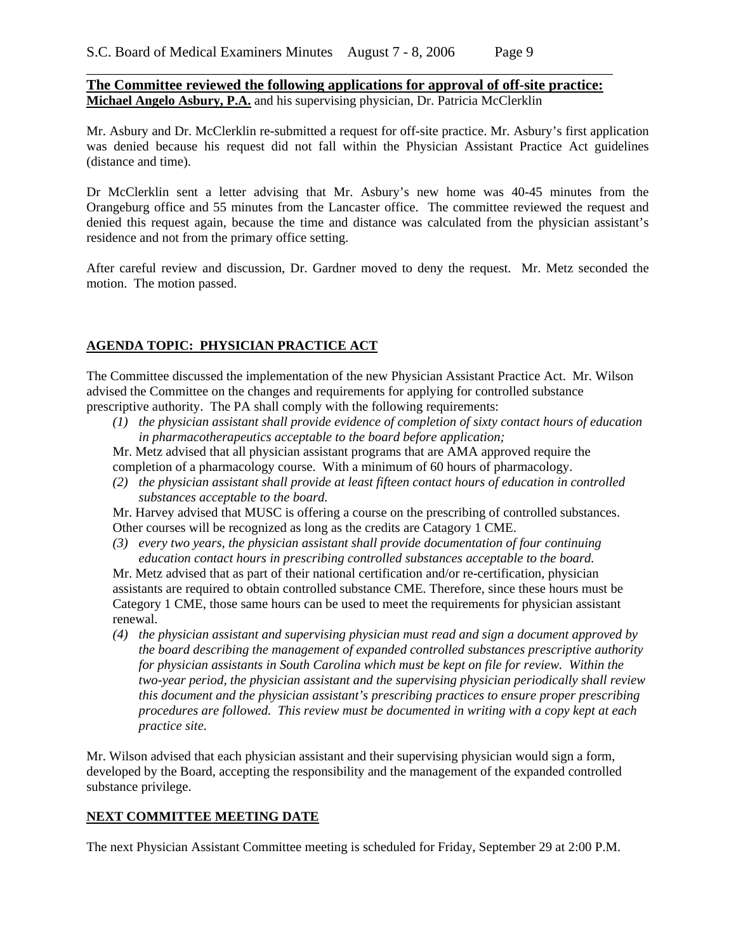**The Committee reviewed the following applications for approval of off-site practice: Michael Angelo Asbury, P.A.** and his supervising physician, Dr. Patricia McClerklin

\_\_\_\_\_\_\_\_\_\_\_\_\_\_\_\_\_\_\_\_\_\_\_\_\_\_\_\_\_\_\_\_\_\_\_\_\_\_\_\_\_\_\_\_\_\_\_\_\_\_\_\_\_\_\_\_\_\_\_\_\_\_\_\_\_\_\_\_\_\_\_\_\_

Mr. Asbury and Dr. McClerklin re-submitted a request for off-site practice. Mr. Asbury's first application was denied because his request did not fall within the Physician Assistant Practice Act guidelines (distance and time).

Dr McClerklin sent a letter advising that Mr. Asbury's new home was 40-45 minutes from the Orangeburg office and 55 minutes from the Lancaster office. The committee reviewed the request and denied this request again, because the time and distance was calculated from the physician assistant's residence and not from the primary office setting.

After careful review and discussion, Dr. Gardner moved to deny the request. Mr. Metz seconded the motion. The motion passed.

#### **AGENDA TOPIC: PHYSICIAN PRACTICE ACT**

The Committee discussed the implementation of the new Physician Assistant Practice Act. Mr. Wilson advised the Committee on the changes and requirements for applying for controlled substance prescriptive authority. The PA shall comply with the following requirements:

*(1) the physician assistant shall provide evidence of completion of sixty contact hours of education in pharmacotherapeutics acceptable to the board before application;* 

Mr. Metz advised that all physician assistant programs that are AMA approved require the completion of a pharmacology course. With a minimum of 60 hours of pharmacology.

*(2) the physician assistant shall provide at least fifteen contact hours of education in controlled substances acceptable to the board.* 

Mr. Harvey advised that MUSC is offering a course on the prescribing of controlled substances. Other courses will be recognized as long as the credits are Catagory 1 CME.

*(3) every two years, the physician assistant shall provide documentation of four continuing education contact hours in prescribing controlled substances acceptable to the board.* 

Mr. Metz advised that as part of their national certification and/or re-certification, physician assistants are required to obtain controlled substance CME. Therefore, since these hours must be Category 1 CME, those same hours can be used to meet the requirements for physician assistant renewal.

*(4) the physician assistant and supervising physician must read and sign a document approved by the board describing the management of expanded controlled substances prescriptive authority for physician assistants in South Carolina which must be kept on file for review. Within the two-year period, the physician assistant and the supervising physician periodically shall review this document and the physician assistant's prescribing practices to ensure proper prescribing procedures are followed. This review must be documented in writing with a copy kept at each practice site.* 

Mr. Wilson advised that each physician assistant and their supervising physician would sign a form, developed by the Board, accepting the responsibility and the management of the expanded controlled substance privilege.

#### **NEXT COMMITTEE MEETING DATE**

The next Physician Assistant Committee meeting is scheduled for Friday, September 29 at 2:00 P.M.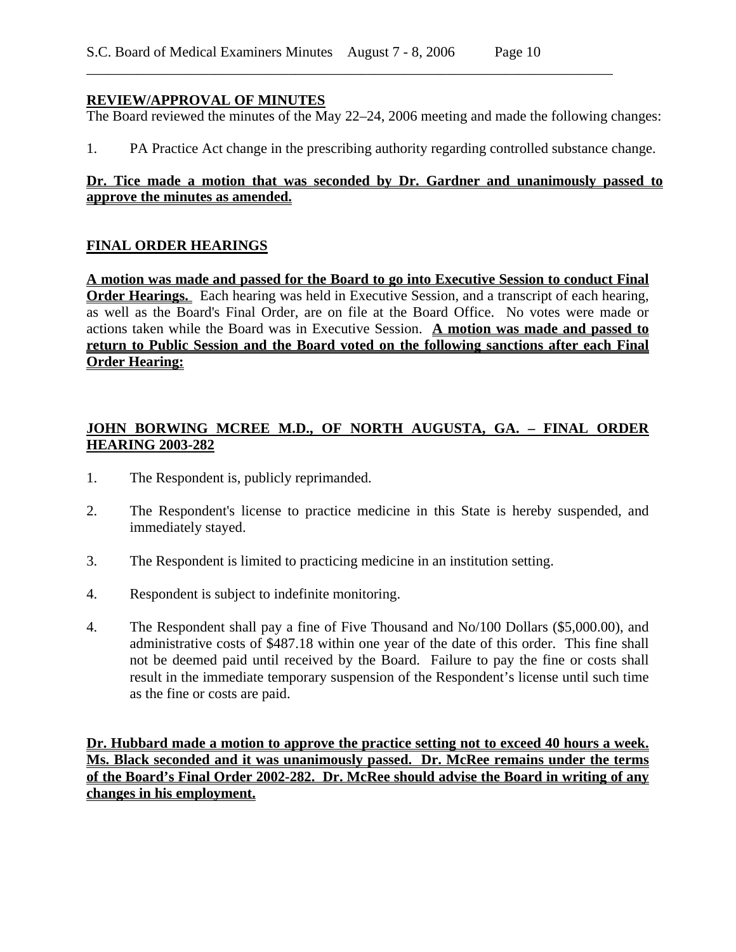### **REVIEW/APPROVAL OF MINUTES**

The Board reviewed the minutes of the May 22–24, 2006 meeting and made the following changes:

\_\_\_\_\_\_\_\_\_\_\_\_\_\_\_\_\_\_\_\_\_\_\_\_\_\_\_\_\_\_\_\_\_\_\_\_\_\_\_\_\_\_\_\_\_\_\_\_\_\_\_\_\_\_\_\_\_\_\_\_\_\_\_\_\_\_\_\_\_\_\_\_\_

1. PA Practice Act change in the prescribing authority regarding controlled substance change.

### **Dr. Tice made a motion that was seconded by Dr. Gardner and unanimously passed to approve the minutes as amended.**

### **FINAL ORDER HEARINGS**

**A motion was made and passed for the Board to go into Executive Session to conduct Final Order Hearings.** Each hearing was held in Executive Session, and a transcript of each hearing, as well as the Board's Final Order, are on file at the Board Office. No votes were made or actions taken while the Board was in Executive Session. **A motion was made and passed to return to Public Session and the Board voted on the following sanctions after each Final Order Hearing:**

## **JOHN BORWING MCREE M.D., OF NORTH AUGUSTA, GA. – FINAL ORDER HEARING 2003-282**

- 1. The Respondent is, publicly reprimanded.
- 2. The Respondent's license to practice medicine in this State is hereby suspended, and immediately stayed.
- 3. The Respondent is limited to practicing medicine in an institution setting.
- 4. Respondent is subject to indefinite monitoring.
- 4. The Respondent shall pay a fine of Five Thousand and No/100 Dollars (\$5,000.00), and administrative costs of \$487.18 within one year of the date of this order. This fine shall not be deemed paid until received by the Board. Failure to pay the fine or costs shall result in the immediate temporary suspension of the Respondent's license until such time as the fine or costs are paid.

**Dr. Hubbard made a motion to approve the practice setting not to exceed 40 hours a week. Ms. Black seconded and it was unanimously passed. Dr. McRee remains under the terms of the Board's Final Order 2002-282. Dr. McRee should advise the Board in writing of any changes in his employment.**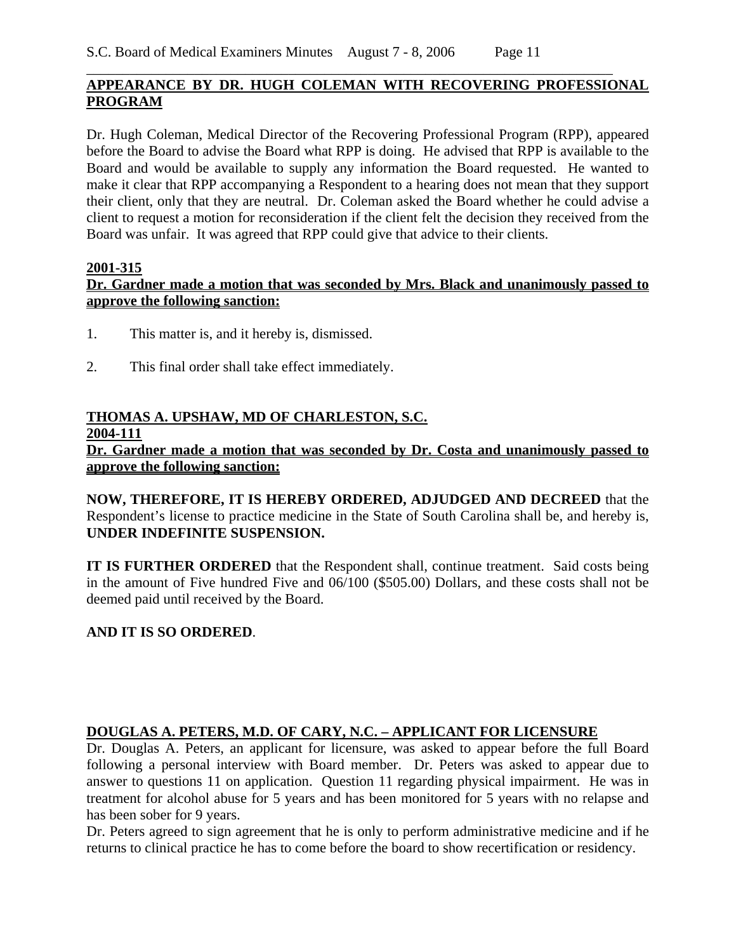## **APPEARANCE BY DR. HUGH COLEMAN WITH RECOVERING PROFESSIONAL PROGRAM**

\_\_\_\_\_\_\_\_\_\_\_\_\_\_\_\_\_\_\_\_\_\_\_\_\_\_\_\_\_\_\_\_\_\_\_\_\_\_\_\_\_\_\_\_\_\_\_\_\_\_\_\_\_\_\_\_\_\_\_\_\_\_\_\_\_\_\_\_\_\_\_\_\_

Dr. Hugh Coleman, Medical Director of the Recovering Professional Program (RPP), appeared before the Board to advise the Board what RPP is doing. He advised that RPP is available to the Board and would be available to supply any information the Board requested. He wanted to make it clear that RPP accompanying a Respondent to a hearing does not mean that they support their client, only that they are neutral. Dr. Coleman asked the Board whether he could advise a client to request a motion for reconsideration if the client felt the decision they received from the Board was unfair. It was agreed that RPP could give that advice to their clients.

#### **2001-315**

## **Dr. Gardner made a motion that was seconded by Mrs. Black and unanimously passed to approve the following sanction:**

- 1. This matter is, and it hereby is, dismissed.
- 2. This final order shall take effect immediately.

#### **THOMAS A. UPSHAW, MD OF CHARLESTON, S.C. 2004-111**

**Dr. Gardner made a motion that was seconded by Dr. Costa and unanimously passed to approve the following sanction:**

**NOW, THEREFORE, IT IS HEREBY ORDERED, ADJUDGED AND DECREED** that the Respondent's license to practice medicine in the State of South Carolina shall be, and hereby is, **UNDER INDEFINITE SUSPENSION.**

**IT IS FURTHER ORDERED** that the Respondent shall, continue treatment. Said costs being in the amount of Five hundred Five and 06/100 (\$505.00) Dollars, and these costs shall not be deemed paid until received by the Board.

## **AND IT IS SO ORDERED**.

## **DOUGLAS A. PETERS, M.D. OF CARY, N.C. – APPLICANT FOR LICENSURE**

Dr. Douglas A. Peters, an applicant for licensure, was asked to appear before the full Board following a personal interview with Board member. Dr. Peters was asked to appear due to answer to questions 11 on application. Question 11 regarding physical impairment. He was in treatment for alcohol abuse for 5 years and has been monitored for 5 years with no relapse and has been sober for 9 years.

Dr. Peters agreed to sign agreement that he is only to perform administrative medicine and if he returns to clinical practice he has to come before the board to show recertification or residency.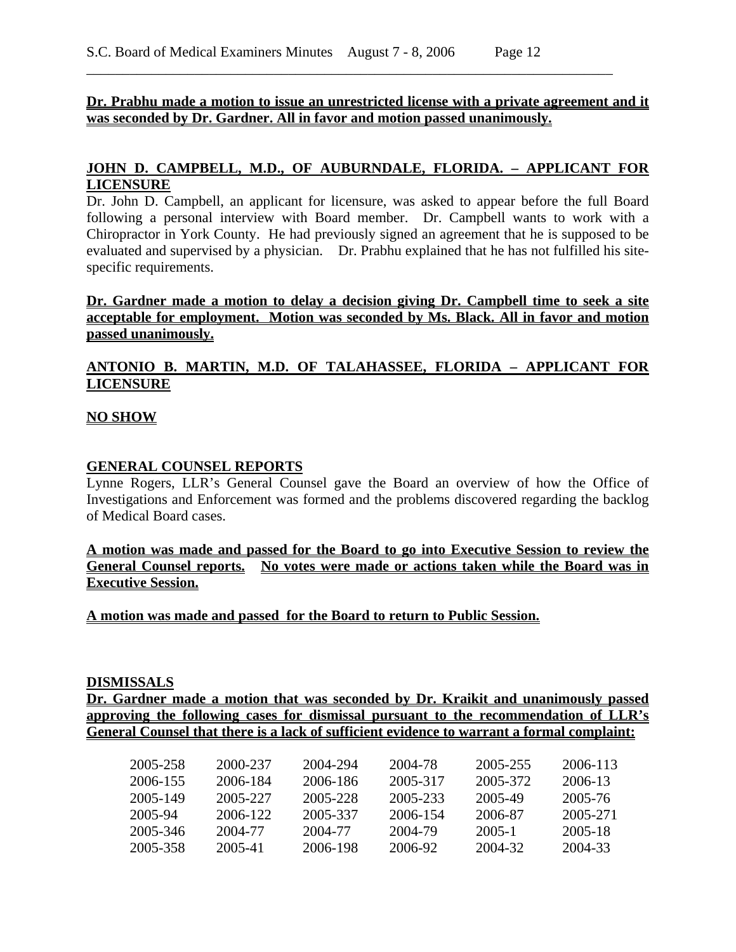#### **Dr. Prabhu made a motion to issue an unrestricted license with a private agreement and it was seconded by Dr. Gardner. All in favor and motion passed unanimously.**

\_\_\_\_\_\_\_\_\_\_\_\_\_\_\_\_\_\_\_\_\_\_\_\_\_\_\_\_\_\_\_\_\_\_\_\_\_\_\_\_\_\_\_\_\_\_\_\_\_\_\_\_\_\_\_\_\_\_\_\_\_\_\_\_\_\_\_\_\_\_\_\_\_

### **JOHN D. CAMPBELL, M.D., OF AUBURNDALE, FLORIDA. – APPLICANT FOR LICENSURE**

Dr. John D. Campbell, an applicant for licensure, was asked to appear before the full Board following a personal interview with Board member. Dr. Campbell wants to work with a Chiropractor in York County. He had previously signed an agreement that he is supposed to be evaluated and supervised by a physician. Dr. Prabhu explained that he has not fulfilled his sitespecific requirements.

**Dr. Gardner made a motion to delay a decision giving Dr. Campbell time to seek a site acceptable for employment. Motion was seconded by Ms. Black. All in favor and motion passed unanimously.**

### **ANTONIO B. MARTIN, M.D. OF TALAHASSEE, FLORIDA – APPLICANT FOR LICENSURE**

#### **NO SHOW**

#### **GENERAL COUNSEL REPORTS**

Lynne Rogers, LLR's General Counsel gave the Board an overview of how the Office of Investigations and Enforcement was formed and the problems discovered regarding the backlog of Medical Board cases.

#### **A motion was made and passed for the Board to go into Executive Session to review the General Counsel reports. No votes were made or actions taken while the Board was in Executive Session.**

**A motion was made and passed for the Board to return to Public Session.**

#### **DISMISSALS**

**Dr. Gardner made a motion that was seconded by Dr. Kraikit and unanimously passed approving the following cases for dismissal pursuant to the recommendation of LLR's General Counsel that there is a lack of sufficient evidence to warrant a formal complaint:** 

| 2005-258 | 2000-237 | 2004-294 | 2004-78  | 2005-255 | 2006-113 |
|----------|----------|----------|----------|----------|----------|
| 2006-155 | 2006-184 | 2006-186 | 2005-317 | 2005-372 | 2006-13  |
| 2005-149 | 2005-227 | 2005-228 | 2005-233 | 2005-49  | 2005-76  |
| 2005-94  | 2006-122 | 2005-337 | 2006-154 | 2006-87  | 2005-271 |
| 2005-346 | 2004-77  | 2004-77  | 2004-79  | 2005-1   | 2005-18  |
| 2005-358 | 2005-41  | 2006-198 | 2006-92  | 2004-32  | 2004-33  |
|          |          |          |          |          |          |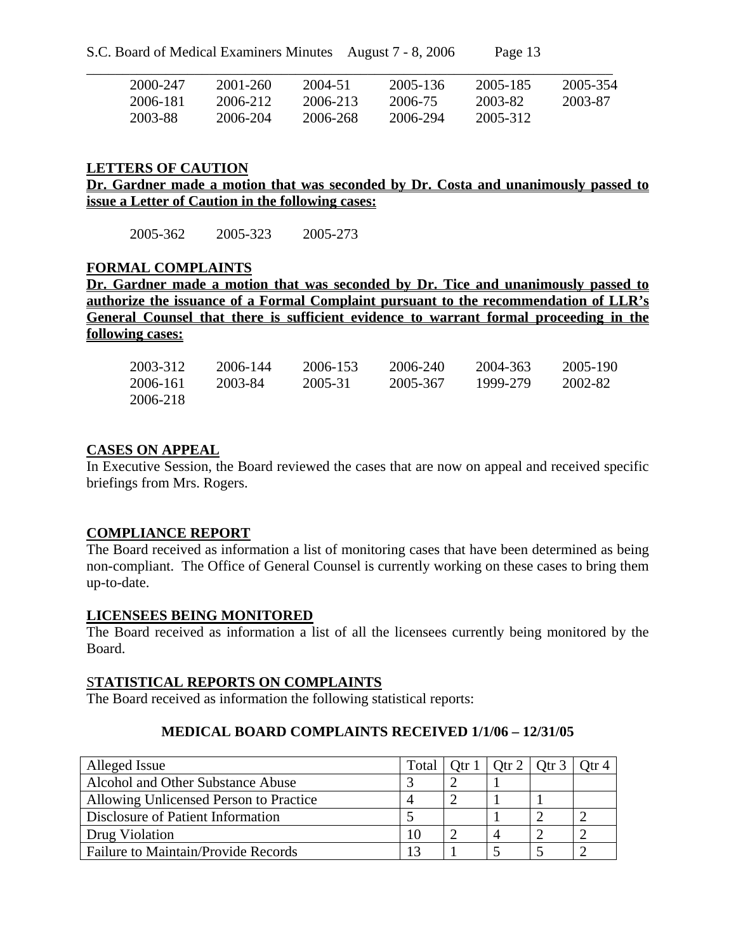| 2000-247 | 2001-260 | 2004-51  | 2005-136 | 2005-185 | 2005-354 |
|----------|----------|----------|----------|----------|----------|
| 2006-181 | 2006-212 | 2006-213 | 2006-75  | 2003-82  | 2003-87  |
| 2003-88  | 2006-204 | 2006-268 | 2006-294 | 2005-312 |          |

#### **LETTERS OF CAUTION**

**Dr. Gardner made a motion that was seconded by Dr. Costa and unanimously passed to issue a Letter of Caution in the following cases:** 

2005-362 2005-323 2005-273

#### **FORMAL COMPLAINTS**

**Dr. Gardner made a motion that was seconded by Dr. Tice and unanimously passed to authorize the issuance of a Formal Complaint pursuant to the recommendation of LLR's General Counsel that there is sufficient evidence to warrant formal proceeding in the following cases:**

| 2003-312 | 2006-144 | 2006-153 | 2006-240 | 2004-363 | 2005-190 |
|----------|----------|----------|----------|----------|----------|
| 2006-161 | 2003-84  | 2005-31  | 2005-367 | 1999-279 | 2002-82  |
| 2006-218 |          |          |          |          |          |

#### **CASES ON APPEAL**

In Executive Session, the Board reviewed the cases that are now on appeal and received specific briefings from Mrs. Rogers.

#### **COMPLIANCE REPORT**

The Board received as information a list of monitoring cases that have been determined as being non-compliant. The Office of General Counsel is currently working on these cases to bring them up-to-date.

#### **LICENSEES BEING MONITORED**

The Board received as information a list of all the licensees currently being monitored by the Board.

#### S**TATISTICAL REPORTS ON COMPLAINTS**

The Board received as information the following statistical reports:

## **MEDICAL BOARD COMPLAINTS RECEIVED 1/1/06 – 12/31/05**

| Alleged Issue                          | Total | Otr $1  $ Otr $2  $ Otr $3  $ |  |
|----------------------------------------|-------|-------------------------------|--|
| Alcohol and Other Substance Abuse      |       |                               |  |
| Allowing Unlicensed Person to Practice |       |                               |  |
| Disclosure of Patient Information      |       |                               |  |
| Drug Violation                         | 10    |                               |  |
| Failure to Maintain/Provide Records    | 13    |                               |  |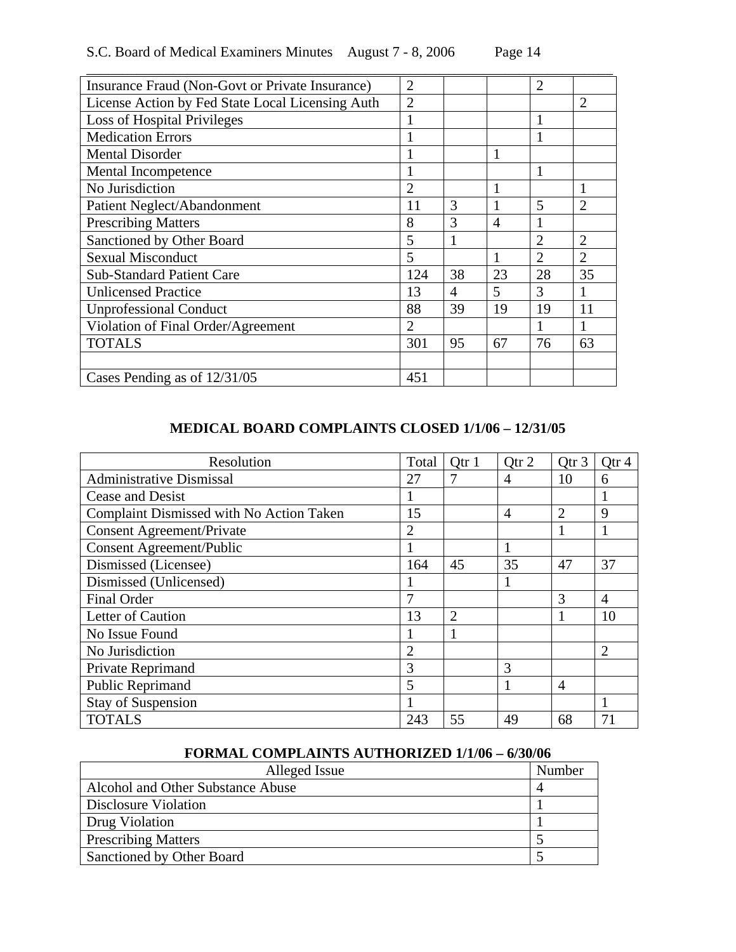| S.C. Board of Medical Examiners Minutes August 7 - 8, 2006 |  | Page 14 |
|------------------------------------------------------------|--|---------|
|------------------------------------------------------------|--|---------|

| Insurance Fraud (Non-Govt or Private Insurance)  | $\overline{2}$ |    |                | $\overline{2}$ |                |
|--------------------------------------------------|----------------|----|----------------|----------------|----------------|
| License Action by Fed State Local Licensing Auth | $\overline{2}$ |    |                |                | $\overline{2}$ |
| <b>Loss of Hospital Privileges</b>               |                |    |                | 1              |                |
| <b>Medication Errors</b>                         |                |    |                |                |                |
| <b>Mental Disorder</b>                           |                |    |                |                |                |
| Mental Incompetence                              |                |    |                | 1              |                |
| No Jurisdiction                                  | $\overline{2}$ |    |                |                | 1              |
| Patient Neglect/Abandonment                      | 11             | 3  |                | 5              | $\overline{2}$ |
| <b>Prescribing Matters</b>                       | 8              | 3  | $\overline{4}$ |                |                |
| Sanctioned by Other Board                        | 5              |    |                | $\overline{2}$ | $\overline{2}$ |
| <b>Sexual Misconduct</b>                         | 5              |    |                | $\overline{2}$ | $\overline{2}$ |
| <b>Sub-Standard Patient Care</b>                 | 124            | 38 | 23             | 28             | 35             |
| <b>Unlicensed Practice</b>                       | 13             | 4  | 5              | 3              | 1              |
| <b>Unprofessional Conduct</b>                    | 88             | 39 | 19             | 19             | 11             |
| Violation of Final Order/Agreement               | $\overline{2}$ |    |                |                |                |
| <b>TOTALS</b>                                    | 301            | 95 | 67             | 76             | 63             |
|                                                  |                |    |                |                |                |
| Cases Pending as of $12/31/05$                   | 451            |    |                |                |                |

## **MEDICAL BOARD COMPLAINTS CLOSED 1/1/06 – 12/31/05**

| Resolution                               | Total          | Otr 1          | Qtr 2          | Qtr 3          | Qtr <sub>4</sub> |
|------------------------------------------|----------------|----------------|----------------|----------------|------------------|
| <b>Administrative Dismissal</b>          | 27             |                | 4              | 10             | 6                |
| Cease and Desist                         | 1              |                |                |                |                  |
| Complaint Dismissed with No Action Taken | 15             |                | $\overline{4}$ | 2              | 9                |
| <b>Consent Agreement/Private</b>         | $\overline{2}$ |                |                |                |                  |
| <b>Consent Agreement/Public</b>          |                |                |                |                |                  |
| Dismissed (Licensee)                     | 164            | 45             | 35             | 47             | 37               |
| Dismissed (Unlicensed)                   |                |                |                |                |                  |
| <b>Final Order</b>                       | 7              |                |                | 3              | $\overline{4}$   |
| Letter of Caution                        | 13             | $\overline{2}$ |                |                | 10               |
| No Issue Found                           |                |                |                |                |                  |
| No Jurisdiction                          | $\overline{2}$ |                |                |                | $\overline{2}$   |
| Private Reprimand                        | 3              |                | 3              |                |                  |
| Public Reprimand                         | 5              |                |                | $\overline{4}$ |                  |
| <b>Stay of Suspension</b>                |                |                |                |                |                  |
| <b>TOTALS</b>                            | 243            | 55             | 49             | 68             | 71               |

### **FORMAL COMPLAINTS AUTHORIZED 1/1/06 – 6/30/06**

| Alleged Issue                     | Number |
|-----------------------------------|--------|
| Alcohol and Other Substance Abuse |        |
| Disclosure Violation              |        |
| Drug Violation                    |        |
| <b>Prescribing Matters</b>        |        |
| Sanctioned by Other Board         |        |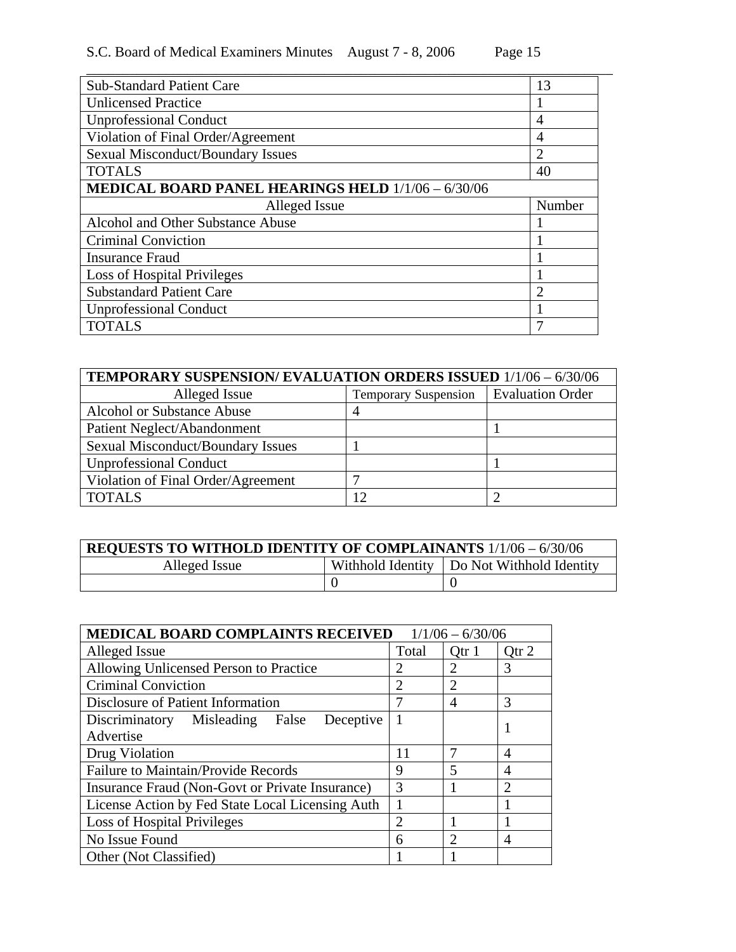| <b>Sub-Standard Patient Care</b>                          | 13             |  |  |  |
|-----------------------------------------------------------|----------------|--|--|--|
| <b>Unlicensed Practice</b>                                |                |  |  |  |
| <b>Unprofessional Conduct</b>                             | 4              |  |  |  |
| Violation of Final Order/Agreement                        | 4              |  |  |  |
| <b>Sexual Misconduct/Boundary Issues</b>                  | $\overline{2}$ |  |  |  |
| <b>TOTALS</b>                                             | 40             |  |  |  |
| <b>MEDICAL BOARD PANEL HEARINGS HELD 1/1/06 - 6/30/06</b> |                |  |  |  |
|                                                           |                |  |  |  |
| Alleged Issue                                             | Number         |  |  |  |
| Alcohol and Other Substance Abuse                         |                |  |  |  |
| <b>Criminal Conviction</b>                                | -1             |  |  |  |
| <b>Insurance Fraud</b>                                    |                |  |  |  |
| Loss of Hospital Privileges                               |                |  |  |  |
| <b>Substandard Patient Care</b>                           | $\overline{2}$ |  |  |  |
| <b>Unprofessional Conduct</b>                             |                |  |  |  |

| <b>TEMPORARY SUSPENSION/ EVALUATION ORDERS ISSUED 1/1/06 - 6/30/06</b> |                             |                         |  |  |  |  |
|------------------------------------------------------------------------|-----------------------------|-------------------------|--|--|--|--|
| Alleged Issue                                                          | <b>Temporary Suspension</b> | <b>Evaluation Order</b> |  |  |  |  |
| <b>Alcohol or Substance Abuse</b>                                      |                             |                         |  |  |  |  |
| Patient Neglect/Abandonment                                            |                             |                         |  |  |  |  |
| <b>Sexual Misconduct/Boundary Issues</b>                               |                             |                         |  |  |  |  |
| <b>Unprofessional Conduct</b>                                          |                             |                         |  |  |  |  |
| Violation of Final Order/Agreement                                     | −                           |                         |  |  |  |  |
| <b>TOTALS</b>                                                          | 12                          |                         |  |  |  |  |

| <b>REQUESTS TO WITHOLD IDENTITY OF COMPLAINANTS 1/1/06 - 6/30/06</b> |  |                                              |  |  |
|----------------------------------------------------------------------|--|----------------------------------------------|--|--|
| Alleged Issue                                                        |  | Withhold Identity   Do Not Withhold Identity |  |  |
|                                                                      |  |                                              |  |  |

| <b>MEDICAL BOARD COMPLAINTS RECEIVED</b><br>$1/1/06 - 6/30/06$ |                |                |                  |  |
|----------------------------------------------------------------|----------------|----------------|------------------|--|
| Alleged Issue                                                  |                | Qtr 1          | Qtr <sub>2</sub> |  |
| Allowing Unlicensed Person to Practice                         |                | 2              | 3                |  |
| <b>Criminal Conviction</b>                                     | $\overline{2}$ | $\overline{2}$ |                  |  |
| Disclosure of Patient Information                              | 7              | 4              | 3                |  |
| Discriminatory Misleading False<br>Deceptive                   |                |                |                  |  |
| Advertise                                                      |                |                |                  |  |
| Drug Violation                                                 | 11             |                | 4                |  |
| <b>Failure to Maintain/Provide Records</b>                     | 9              | 5              | 4                |  |
| Insurance Fraud (Non-Govt or Private Insurance)                |                |                | $\mathfrak{D}$   |  |
| License Action by Fed State Local Licensing Auth               |                |                |                  |  |
| Loss of Hospital Privileges                                    |                |                |                  |  |
| No Issue Found                                                 | 6              | $\mathfrak{D}$ | 4                |  |
| Other (Not Classified)                                         |                |                |                  |  |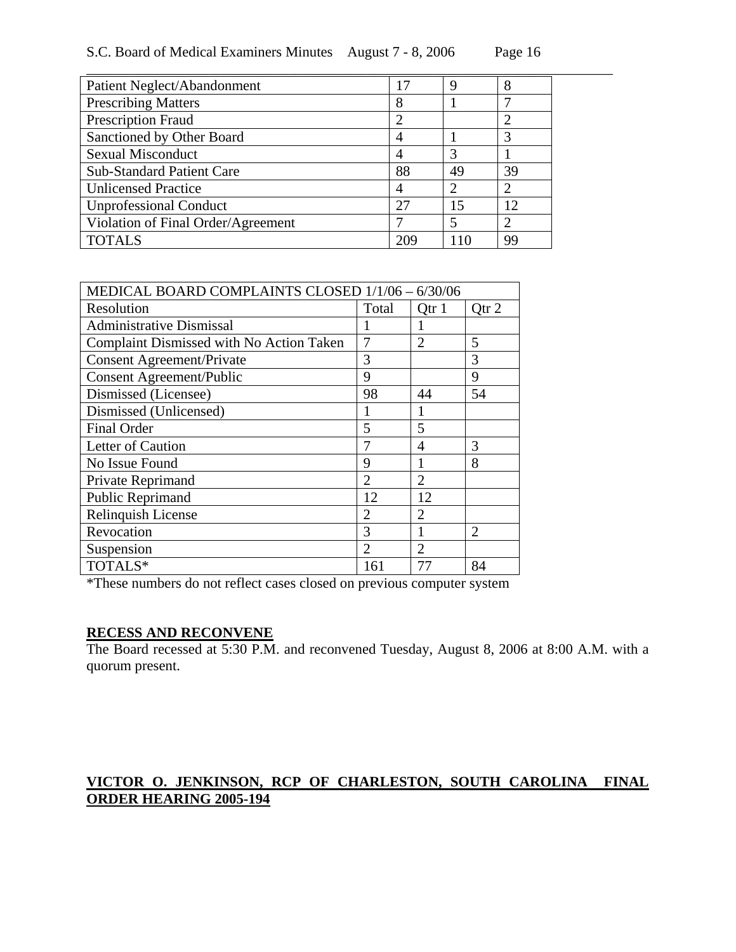| S.C. Board of Medical Examiners Minutes August 7 - 8, 2006 |  | Page 16 |
|------------------------------------------------------------|--|---------|
|------------------------------------------------------------|--|---------|

\_\_\_\_\_\_\_\_\_\_\_\_\_\_\_\_\_\_\_\_\_\_\_\_\_\_\_\_\_\_\_\_\_\_\_\_\_\_\_\_\_\_\_\_\_\_\_\_\_\_\_\_\_\_\_\_\_\_\_\_\_\_\_\_\_\_\_\_\_\_\_\_\_

| Patient Neglect/Abandonment        | 17  |    | 8  |
|------------------------------------|-----|----|----|
| <b>Prescribing Matters</b>         | 8   |    |    |
| <b>Prescription Fraud</b>          |     |    |    |
| Sanctioned by Other Board          |     |    | 3  |
| <b>Sexual Misconduct</b>           |     | 3  |    |
| <b>Sub-Standard Patient Care</b>   | 88  | 49 | 39 |
| <b>Unlicensed Practice</b>         |     |    |    |
| <b>Unprofessional Conduct</b>      | 27  | 15 | 12 |
| Violation of Final Order/Agreement |     |    |    |
| <b>TOTALS</b>                      | 209 | 10 | 99 |

| MEDICAL BOARD COMPLAINTS CLOSED 1/1/06 - 6/30/06 |                       |                |                |
|--------------------------------------------------|-----------------------|----------------|----------------|
| Resolution                                       | Total                 | Qtr 1          | Qtr 2          |
| <b>Administrative Dismissal</b>                  |                       |                |                |
| Complaint Dismissed with No Action Taken         | 7                     | $\overline{2}$ | 5              |
| <b>Consent Agreement/Private</b>                 | 3                     |                | 3              |
| <b>Consent Agreement/Public</b>                  | 9                     |                | 9              |
| Dismissed (Licensee)                             | 98                    | 44             | 54             |
| Dismissed (Unlicensed)                           |                       |                |                |
| <b>Final Order</b>                               | 5                     | 5              |                |
| Letter of Caution                                | 7                     | 4              | 3              |
| No Issue Found                                   | 9                     | 1              | 8              |
| Private Reprimand                                | $\mathcal{D}_{\cdot}$ | $\overline{2}$ |                |
| Public Reprimand                                 | 12                    | 12             |                |
| Relinquish License                               | $\overline{2}$        | $\overline{2}$ |                |
| Revocation                                       | 3                     |                | $\overline{2}$ |
| Suspension                                       | $\overline{2}$        | $\overline{2}$ |                |
| TOTALS*                                          | 161                   | 77             | 84             |

\*These numbers do not reflect cases closed on previous computer system

### **RECESS AND RECONVENE**

The Board recessed at 5:30 P.M. and reconvened Tuesday, August 8, 2006 at 8:00 A.M. with a quorum present.

# **VICTOR O. JENKINSON, RCP OF CHARLESTON, SOUTH CAROLINA FINAL ORDER HEARING 2005-194**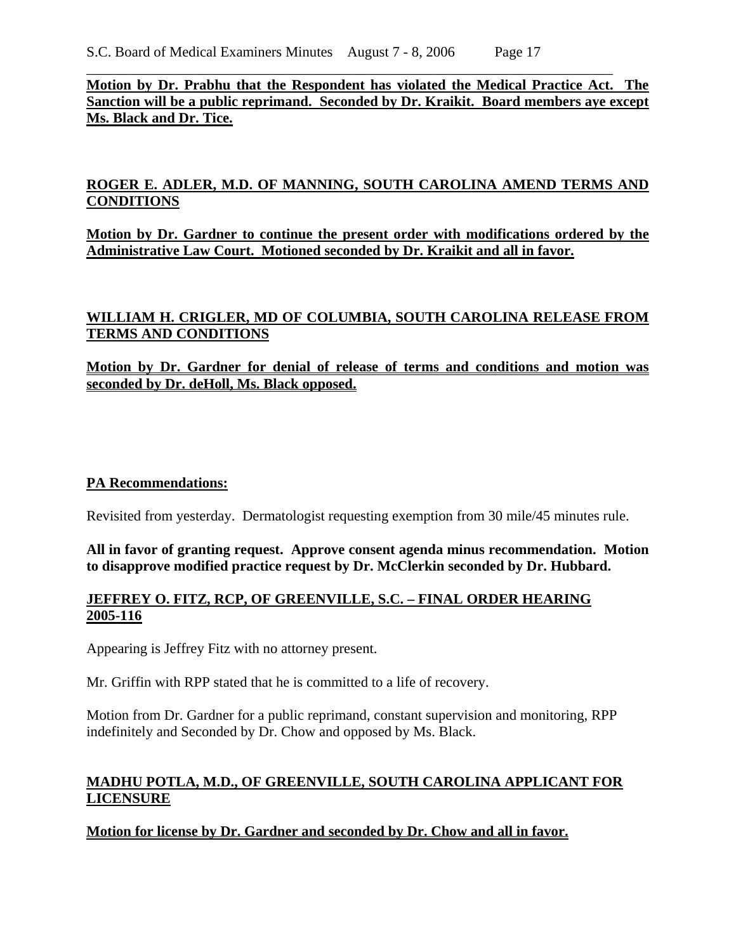### **Motion by Dr. Prabhu that the Respondent has violated the Medical Practice Act. The Sanction will be a public reprimand. Seconded by Dr. Kraikit. Board members aye except Ms. Black and Dr. Tice.**

\_\_\_\_\_\_\_\_\_\_\_\_\_\_\_\_\_\_\_\_\_\_\_\_\_\_\_\_\_\_\_\_\_\_\_\_\_\_\_\_\_\_\_\_\_\_\_\_\_\_\_\_\_\_\_\_\_\_\_\_\_\_\_\_\_\_\_\_\_\_\_\_\_

## **ROGER E. ADLER, M.D. OF MANNING, SOUTH CAROLINA AMEND TERMS AND CONDITIONS**

**Motion by Dr. Gardner to continue the present order with modifications ordered by the Administrative Law Court. Motioned seconded by Dr. Kraikit and all in favor.** 

## **WILLIAM H. CRIGLER, MD OF COLUMBIA, SOUTH CAROLINA RELEASE FROM TERMS AND CONDITIONS**

**Motion by Dr. Gardner for denial of release of terms and conditions and motion was seconded by Dr. deHoll, Ms. Black opposed.** 

### **PA Recommendations:**

Revisited from yesterday. Dermatologist requesting exemption from 30 mile/45 minutes rule.

**All in favor of granting request. Approve consent agenda minus recommendation. Motion to disapprove modified practice request by Dr. McClerkin seconded by Dr. Hubbard.** 

### **JEFFREY O. FITZ, RCP, OF GREENVILLE, S.C. – FINAL ORDER HEARING 2005-116**

Appearing is Jeffrey Fitz with no attorney present.

Mr. Griffin with RPP stated that he is committed to a life of recovery.

Motion from Dr. Gardner for a public reprimand, constant supervision and monitoring, RPP indefinitely and Seconded by Dr. Chow and opposed by Ms. Black.

## **MADHU POTLA, M.D., OF GREENVILLE, SOUTH CAROLINA APPLICANT FOR LICENSURE**

**Motion for license by Dr. Gardner and seconded by Dr. Chow and all in favor.**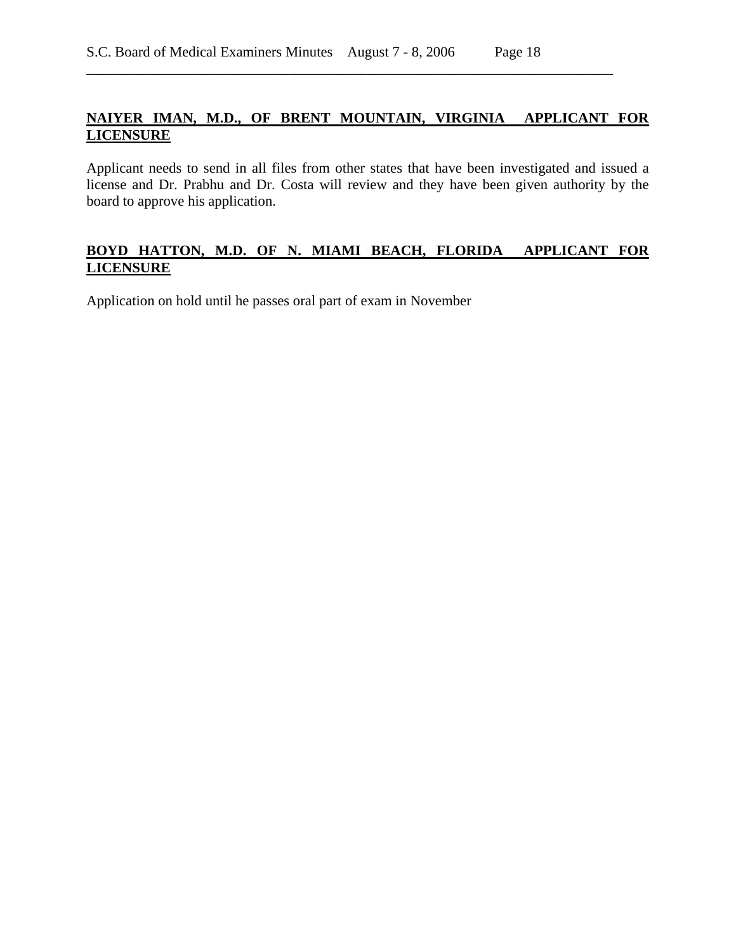## **NAIYER IMAN, M.D., OF BRENT MOUNTAIN, VIRGINIA APPLICANT FOR LICENSURE**

\_\_\_\_\_\_\_\_\_\_\_\_\_\_\_\_\_\_\_\_\_\_\_\_\_\_\_\_\_\_\_\_\_\_\_\_\_\_\_\_\_\_\_\_\_\_\_\_\_\_\_\_\_\_\_\_\_\_\_\_\_\_\_\_\_\_\_\_\_\_\_\_\_

Applicant needs to send in all files from other states that have been investigated and issued a license and Dr. Prabhu and Dr. Costa will review and they have been given authority by the board to approve his application.

### **BOYD HATTON, M.D. OF N. MIAMI BEACH, FLORIDA APPLICANT FOR LICENSURE**

Application on hold until he passes oral part of exam in November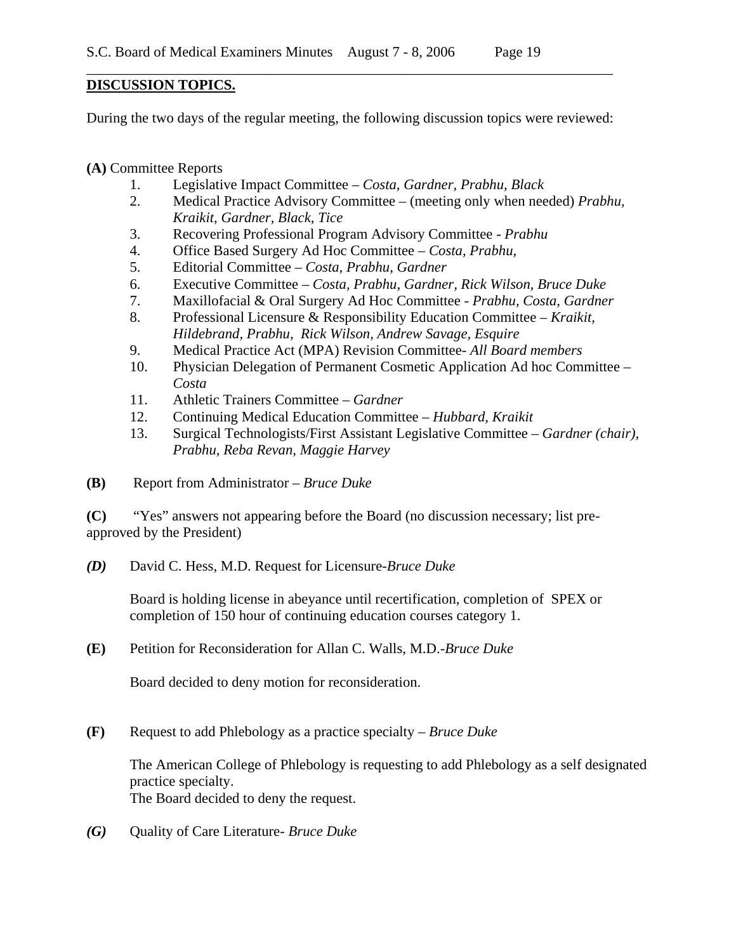### **DISCUSSION TOPICS.**

During the two days of the regular meeting, the following discussion topics were reviewed:

\_\_\_\_\_\_\_\_\_\_\_\_\_\_\_\_\_\_\_\_\_\_\_\_\_\_\_\_\_\_\_\_\_\_\_\_\_\_\_\_\_\_\_\_\_\_\_\_\_\_\_\_\_\_\_\_\_\_\_\_\_\_\_\_\_\_\_\_\_\_\_\_\_

**(A)** Committee Reports

- 1. Legislative Impact Committee *Costa, Gardner, Prabhu, Black*
- 2. Medical Practice Advisory Committee (meeting only when needed) *Prabhu, Kraikit, Gardner, Black, Tice*
- 3. Recovering Professional Program Advisory Committee *Prabhu*
- 4. Office Based Surgery Ad Hoc Committee *Costa, Prabhu,*
- 5. Editorial Committee *Costa, Prabhu, Gardner*
- 6. Executive Committee *Costa, Prabhu, Gardner, Rick Wilson, Bruce Duke*
- 7. Maxillofacial & Oral Surgery Ad Hoc Committee  *Prabhu, Costa, Gardner*
- 8. Professional Licensure & Responsibility Education Committee *Kraikit, Hildebrand, Prabhu, Rick Wilson, Andrew Savage, Esquire*
- 9. Medical Practice Act (MPA) Revision Committee- *All Board members*
- 10. Physician Delegation of Permanent Cosmetic Application Ad hoc Committee *Costa*
- 11. Athletic Trainers Committee *Gardner*
- 12. Continuing Medical Education Committee *Hubbard, Kraikit*
- 13. Surgical Technologists/First Assistant Legislative Committee *Gardner (chair), Prabhu, Reba Revan, Maggie Harvey*
- **(B)** Report from Administrator *Bruce Duke*

**(C)** "Yes" answers not appearing before the Board (no discussion necessary; list preapproved by the President)

*(D)* David C. Hess, M.D. Request for Licensure-*Bruce Duke* 

Board is holding license in abeyance until recertification, completion of SPEX or completion of 150 hour of continuing education courses category 1.

**(E)** Petition for Reconsideration for Allan C. Walls, M.D.-*Bruce Duke* 

Board decided to deny motion for reconsideration.

**(F)** Request to add Phlebology as a practice specialty – *Bruce Duke* 

The American College of Phlebology is requesting to add Phlebology as a self designated practice specialty. The Board decided to deny the request.

*(G)* Quality of Care Literature- *Bruce Duke*